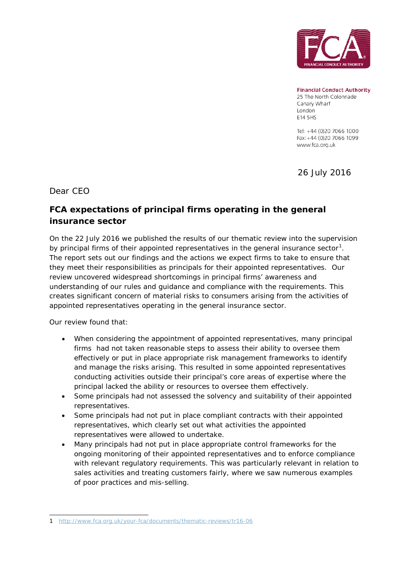

**Financial Conduct Authority** 25 The North Colonnade Canary Wharf London E14 5HS

Tel: +44 (0)20 7066 1000 Fax: +44 (0)20 7066 1099 www.fca.org.uk

26 July 2016

Dear CEO

## **FCA expectations of principal firms operating in the general insurance sector**

On the 22 July 2016 we published the results of our thematic review into the supervision by principal firms of their appointed representatives in the general insurance sector<sup>[1](#page-0-0)</sup>. The report sets out our findings and the actions we expect firms to take to ensure that they meet their responsibilities as principals for their appointed representatives. Our review uncovered widespread shortcomings in principal firms' awareness and understanding of our rules and guidance and compliance with the requirements. This creates significant concern of material risks to consumers arising from the activities of appointed representatives operating in the general insurance sector.

Our review found that:

- When considering the appointment of appointed representatives, many principal firms had not taken reasonable steps to assess their ability to oversee them effectively or put in place appropriate risk management frameworks to identify and manage the risks arising. This resulted in some appointed representatives conducting activities outside their principal's core areas of expertise where the principal lacked the ability or resources to oversee them effectively.
- Some principals had not assessed the solvency and suitability of their appointed representatives.
- Some principals had not put in place compliant contracts with their appointed representatives, which clearly set out what activities the appointed representatives were allowed to undertake.
- Many principals had not put in place appropriate control frameworks for the ongoing monitoring of their appointed representatives and to enforce compliance with relevant regulatory requirements. This was particularly relevant in relation to sales activities and treating customers fairly, where we saw numerous examples of poor practices and mis-selling.

<span id="page-0-0"></span> <sup>1</sup> <http://www.fca.org.uk/your-fca/documents/thematic-reviews/tr16-06>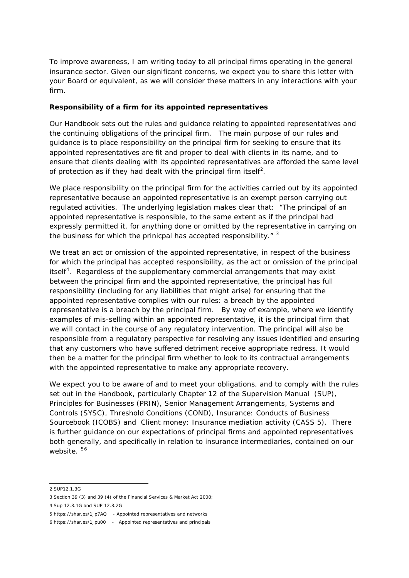To improve awareness, I am writing today to all principal firms operating in the general insurance sector. Given our significant concerns, we expect you to share this letter with your Board or equivalent, as we will consider these matters in any interactions with your firm.

## **Responsibility of a firm for its appointed representatives**

Our Handbook sets out the rules and guidance relating to appointed representatives and the continuing obligations of the principal firm. The main purpose of our rules and guidance is to place responsibility on the principal firm for seeking to ensure that its appointed representatives are fit and proper to deal with clients in its name, and to ensure that clients dealing with its appointed representatives are afforded the same level of protection as if they had dealt with the principal firm itself<sup>[2](#page-1-0)</sup>.

We place responsibility on the principal firm for the activities carried out by its appointed representative because an appointed representative is an exempt person carrying out regulated activities. The underlying legislation makes clear that: "The principal of an appointed representative is responsible, to the same extent as if the principal had expressly permitted it, for anything done or omitted by the representative in carrying on the business for which the prinicpal has accepted responsibility. $"$ <sup>[3](#page-1-1)</sup>

We treat an act or omission of the appointed representative, in respect of the business for which the principal has accepted responsibility, as the act or omission of the principal itself<sup>[4](#page-1-2)</sup>. Regardless of the supplementary commercial arrangements that may exist between the principal firm and the appointed representative, the principal has full responsibility (including for any liabilities that might arise) for ensuring that the appointed representative complies with our rules: a breach by the appointed representative is a breach by the principal firm. By way of example, where we identify examples of mis-selling within an appointed representative, it is the principal firm that we will contact in the course of any regulatory intervention. The principal will also be responsible from a regulatory perspective for resolving any issues identified and ensuring that any customers who have suffered detriment receive appropriate redress. It would then be a matter for the principal firm whether to look to its contractual arrangements with the appointed representative to make any appropriate recovery.

We expect you to be aware of and to meet your obligations, and to comply with the rules set out in the Handbook, particularly Chapter 12 of the Supervision Manual (SUP), Principles for Businesses (PRIN), Senior Management Arrangements, Systems and Controls (SYSC), Threshold Conditions (COND), Insurance: Conducts of Business Sourcebook (ICOBS) and Client money: Insurance mediation activity (CASS 5). There is further guidance on our expectations of principal firms and appointed representatives both generally, and specifically in relation to insurance intermediaries, contained on our website.<sup>[5](#page-1-3)[6](#page-1-4)</sup>

<span id="page-1-0"></span> <sup>2</sup> SUP12.1.3G

<span id="page-1-1"></span><sup>3</sup> Section 39 (3) and 39 (4) of the Financial Services & Market Act 2000;

<span id="page-1-2"></span><sup>4</sup> Sup 12.3.1G and SUP 12.3.2G

<span id="page-1-3"></span><sup>5</sup> https://shar.es/1Jp7AQ - Appointed representatives and networks

<span id="page-1-4"></span><sup>6</sup> https://shar.es/1Jpu00 - Appointed representatives and principals